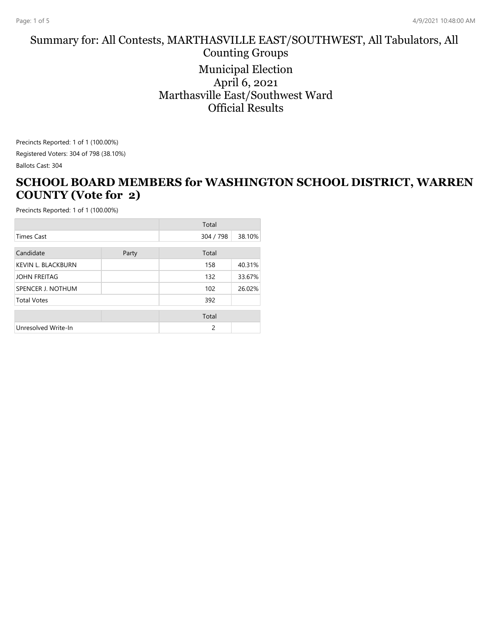#### Summary for: All Contests, MARTHASVILLE EAST/SOUTHWEST, All Tabulators, All Counting Groups Municipal Election April 6, 2021 Marthasville East/Southwest Ward Official Results

Precincts Reported: 1 of 1 (100.00%) Registered Voters: 304 of 798 (38.10%) Ballots Cast: 304

#### **SCHOOL BOARD MEMBERS for WASHINGTON SCHOOL DISTRICT, WARREN COUNTY (Vote for 2)**

|                           |       | Total     |        |
|---------------------------|-------|-----------|--------|
| <b>Times Cast</b>         |       | 304 / 798 | 38.10% |
| Candidate                 | Party | Total     |        |
| <b>KEVIN L. BLACKBURN</b> |       | 158       | 40.31% |
| <b>JOHN FREITAG</b>       |       | 132       | 33.67% |
| SPENCER J. NOTHUM         |       | 102       | 26.02% |
| <b>Total Votes</b>        |       | 392       |        |
|                           |       | Total     |        |
| Unresolved Write-In       |       | 2         |        |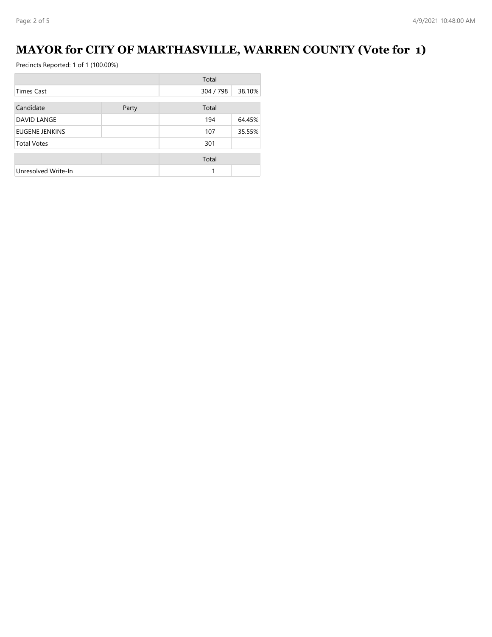# **MAYOR for CITY OF MARTHASVILLE, WARREN COUNTY (Vote for 1)**

|                       |       | Total     |        |
|-----------------------|-------|-----------|--------|
| <b>Times Cast</b>     |       | 304 / 798 | 38.10% |
| Candidate             | Party | Total     |        |
| DAVID LANGE           |       | 194       | 64.45% |
| <b>EUGENE JENKINS</b> |       | 107       | 35.55% |
| <b>Total Votes</b>    |       | 301       |        |
|                       |       | Total     |        |
| Unresolved Write-In   |       |           |        |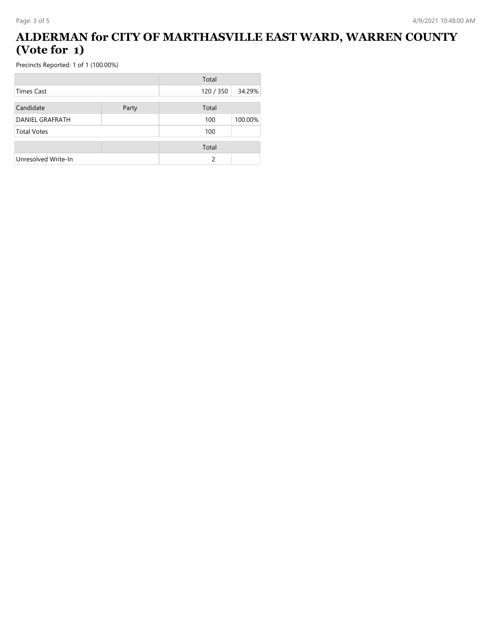### **ALDERMAN for CITY OF MARTHASVILLE EAST WARD, WARREN COUNTY (Vote for 1)**

|                        |       | Total         |         |
|------------------------|-------|---------------|---------|
| Times Cast             |       | 120 / 350     | 34.29%  |
| Candidate              | Party | Total         |         |
| <b>DANIEL GRAFRATH</b> |       | 100           | 100.00% |
| <b>Total Votes</b>     |       | 100           |         |
|                        |       | Total         |         |
| Unresolved Write-In    |       | $\mathcal{P}$ |         |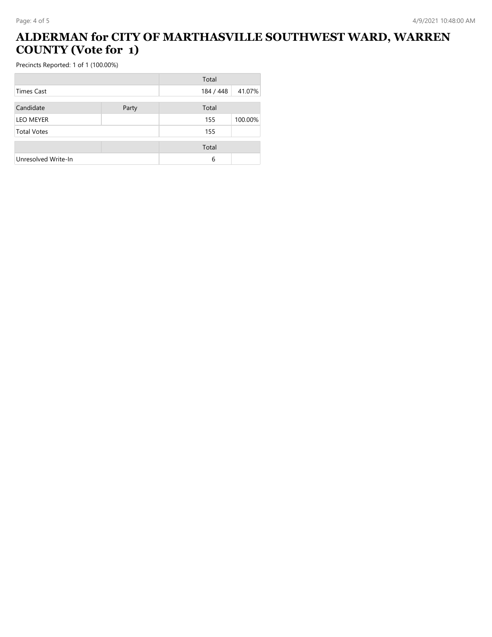# **ALDERMAN for CITY OF MARTHASVILLE SOUTHWEST WARD, WARREN COUNTY (Vote for 1)**

|                     |       | Total     |         |
|---------------------|-------|-----------|---------|
| Times Cast          |       | 184 / 448 | 41.07%  |
| Candidate           | Party | Total     |         |
| <b>LEO MEYER</b>    |       | 155       | 100.00% |
| <b>Total Votes</b>  |       | 155       |         |
|                     |       | Total     |         |
| Unresolved Write-In |       | 6         |         |